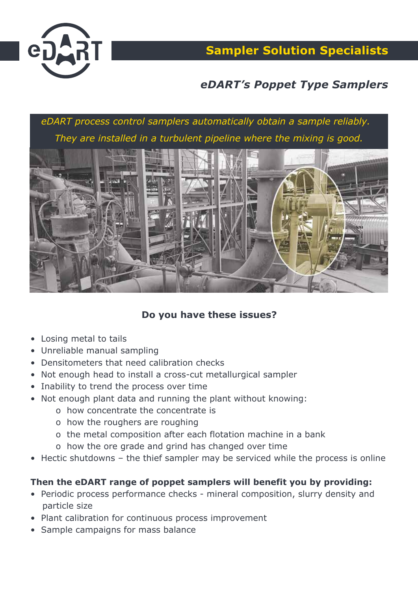

**Sampler Solution Specialists**

# *eDART's Poppet Type Samplers*

*eDART process control samplers automatically obtain a sample reliably. They are installed in a turbulent pipeline where the mixing is good.*



### **Do you have these issues?**

- Losing metal to tails
- Unreliable manual sampling
- Densitometers that need calibration checks
- Not enough head to install a cross-cut metallurgical sampler
- Inability to trend the process over time
- Not enough plant data and running the plant without knowing:
	- o how concentrate the concentrate is
	- o how the roughers are roughing
	- o the metal composition after each flotation machine in a bank
	- o how the ore grade and grind has changed over time
- Hectic shutdowns the thief sampler may be serviced while the process is online

#### **Then the eDART range of poppet samplers will benefit you by providing:**

- Periodic process performance checks mineral composition, slurry density and particle size
- Plant calibration for continuous process improvement
- Sample campaigns for mass balance